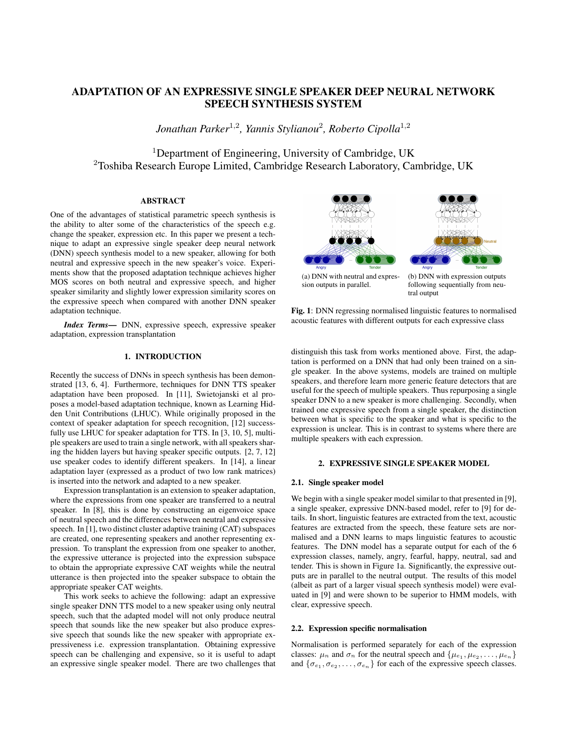# ADAPTATION OF AN EXPRESSIVE SINGLE SPEAKER DEEP NEURAL NETWORK SPEECH SYNTHESIS SYSTEM

*Jonathan Parker*<sup>1</sup>,<sup>2</sup> *, Yannis Stylianou*<sup>2</sup> *, Roberto Cipolla*<sup>1</sup>,<sup>2</sup>

<sup>1</sup>Department of Engineering, University of Cambridge, UK <sup>2</sup>Toshiba Research Europe Limited, Cambridge Research Laboratory, Cambridge, UK

# ABSTRACT

One of the advantages of statistical parametric speech synthesis is the ability to alter some of the characteristics of the speech e.g. change the speaker, expression etc. In this paper we present a technique to adapt an expressive single speaker deep neural network (DNN) speech synthesis model to a new speaker, allowing for both neutral and expressive speech in the new speaker's voice. Experiments show that the proposed adaptation technique achieves higher MOS scores on both neutral and expressive speech, and higher speaker similarity and slightly lower expression similarity scores on the expressive speech when compared with another DNN speaker adaptation technique.

*Index Terms*— DNN, expressive speech, expressive speaker adaptation, expression transplantation

# 1. INTRODUCTION

Recently the success of DNNs in speech synthesis has been demonstrated [13, 6, 4]. Furthermore, techniques for DNN TTS speaker adaptation have been proposed. In [11], Swietojanski et al proposes a model-based adaptation technique, known as Learning Hidden Unit Contributions (LHUC). While originally proposed in the context of speaker adaptation for speech recognition, [12] successfully use LHUC for speaker adaptation for TTS. In [3, 10, 5], multiple speakers are used to train a single network, with all speakers sharing the hidden layers but having speaker specific outputs. [2, 7, 12] use speaker codes to identify different speakers. In [14], a linear adaptation layer (expressed as a product of two low rank matrices) is inserted into the network and adapted to a new speaker.

Expression transplantation is an extension to speaker adaptation, where the expressions from one speaker are transferred to a neutral speaker. In [8], this is done by constructing an eigenvoice space of neutral speech and the differences between neutral and expressive speech. In [1], two distinct cluster adaptive training (CAT) subspaces are created, one representing speakers and another representing expression. To transplant the expression from one speaker to another, the expressive utterance is projected into the expression subspace to obtain the appropriate expressive CAT weights while the neutral utterance is then projected into the speaker subspace to obtain the appropriate speaker CAT weights.

This work seeks to achieve the following: adapt an expressive single speaker DNN TTS model to a new speaker using only neutral speech, such that the adapted model will not only produce neutral speech that sounds like the new speaker but also produce expressive speech that sounds like the new speaker with appropriate expressiveness i.e. expression transplantation. Obtaining expressive speech can be challenging and expensive, so it is useful to adapt an expressive single speaker model. There are two challenges that



(a) DNN with neutral and expression outputs in parallel.

(b) DNN with expression outputs following sequentially from neutral output

Fig. 1: DNN regressing normalised linguistic features to normalised acoustic features with different outputs for each expressive class

distinguish this task from works mentioned above. First, the adaptation is performed on a DNN that had only been trained on a single speaker. In the above systems, models are trained on multiple speakers, and therefore learn more generic feature detectors that are useful for the speech of multiple speakers. Thus repurposing a single speaker DNN to a new speaker is more challenging. Secondly, when trained one expressive speech from a single speaker, the distinction between what is specific to the speaker and what is specific to the expression is unclear. This is in contrast to systems where there are multiple speakers with each expression.

# 2. EXPRESSIVE SINGLE SPEAKER MODEL

#### 2.1. Single speaker model

We begin with a single speaker model similar to that presented in [9], a single speaker, expressive DNN-based model, refer to [9] for details. In short, linguistic features are extracted from the text, acoustic features are extracted from the speech, these feature sets are normalised and a DNN learns to maps linguistic features to acoustic features. The DNN model has a separate output for each of the 6 expression classes, namely, angry, fearful, happy, neutral, sad and tender. This is shown in Figure 1a. Significantly, the expressive outputs are in parallel to the neutral output. The results of this model (albeit as part of a larger visual speech synthesis model) were evaluated in [9] and were shown to be superior to HMM models, with clear, expressive speech.

# 2.2. Expression specific normalisation

Normalisation is performed separately for each of the expression classes:  $\mu_n$  and  $\sigma_n$  for the neutral speech and  $\{\mu_{e_1}, \mu_{e_2}, \dots, \mu_{e_n}\}\$ and  $\{\sigma_{e_1}, \sigma_{e_2}, \ldots, \sigma_{e_n}\}\$  for each of the expressive speech classes.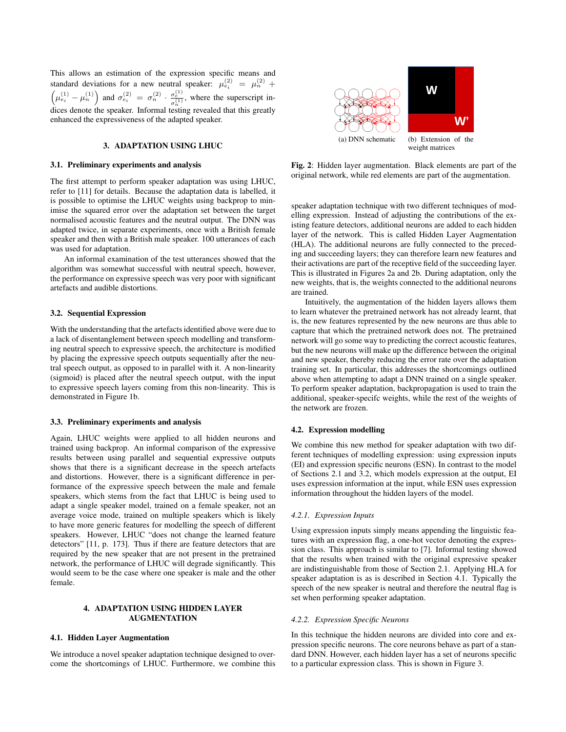This allows an estimation of the expression specific means and standard deviations for a new neutral speaker:  $\mu_{e_i}^{(2)} = \mu_n^{(2)} +$  $\left(\mu_{e_i}^{(1)} - \mu_n^{(1)}\right)$  and  $\sigma_{e_i}^{(2)} = \sigma_n^{(2)} \cdot \frac{\sigma_e^{(1)}}{\sigma_n^{(1)}}$ , where the superscript indices denote the speaker. Informal testing revealed that this greatly enhanced the expressiveness of the adapted speaker.

### 3. ADAPTATION USING LHUC

#### 3.1. Preliminary experiments and analysis

The first attempt to perform speaker adaptation was using LHUC, refer to [11] for details. Because the adaptation data is labelled, it is possible to optimise the LHUC weights using backprop to minimise the squared error over the adaptation set between the target normalised acoustic features and the neutral output. The DNN was adapted twice, in separate experiments, once with a British female speaker and then with a British male speaker. 100 utterances of each was used for adaptation.

An informal examination of the test utterances showed that the algorithm was somewhat successful with neutral speech, however, the performance on expressive speech was very poor with significant artefacts and audible distortions.

### 3.2. Sequential Expression

With the understanding that the artefacts identified above were due to a lack of disentanglement between speech modelling and transforming neutral speech to expressive speech, the architecture is modified by placing the expressive speech outputs sequentially after the neutral speech output, as opposed to in parallel with it. A non-linearity (sigmoid) is placed after the neutral speech output, with the input to expressive speech layers coming from this non-linearity. This is demonstrated in Figure 1b.

# 3.3. Preliminary experiments and analysis

Again, LHUC weights were applied to all hidden neurons and trained using backprop. An informal comparison of the expressive results between using parallel and sequential expressive outputs shows that there is a significant decrease in the speech artefacts and distortions. However, there is a significant difference in performance of the expressive speech between the male and female speakers, which stems from the fact that LHUC is being used to adapt a single speaker model, trained on a female speaker, not an average voice mode, trained on multiple speakers which is likely to have more generic features for modelling the speech of different speakers. However, LHUC "does not change the learned feature detectors" [11, p. 173]. Thus if there are feature detectors that are required by the new speaker that are not present in the pretrained network, the performance of LHUC will degrade significantly. This would seem to be the case where one speaker is male and the other female.

# 4. ADAPTATION USING HIDDEN LAYER AUGMENTATION

# 4.1. Hidden Layer Augmentation

We introduce a novel speaker adaptation technique designed to overcome the shortcomings of LHUC. Furthermore, we combine this



Fig. 2: Hidden layer augmentation. Black elements are part of the original network, while red elements are part of the augmentation.

speaker adaptation technique with two different techniques of modelling expression. Instead of adjusting the contributions of the existing feature detectors, additional neurons are added to each hidden layer of the network. This is called Hidden Layer Augmentation (HLA). The additional neurons are fully connected to the preceding and succeeding layers; they can therefore learn new features and their activations are part of the receptive field of the succeeding layer. This is illustrated in Figures 2a and 2b. During adaptation, only the new weights, that is, the weights connected to the additional neurons are trained.

Intuitively, the augmentation of the hidden layers allows them to learn whatever the pretrained network has not already learnt, that is, the new features represented by the new neurons are thus able to capture that which the pretrained network does not. The pretrained network will go some way to predicting the correct acoustic features, but the new neurons will make up the difference between the original and new speaker, thereby reducing the error rate over the adaptation training set. In particular, this addresses the shortcomings outlined above when attempting to adapt a DNN trained on a single speaker. To perform speaker adaptation, backpropagation is used to train the additional, speaker-specifc weights, while the rest of the weights of the network are frozen.

#### 4.2. Expression modelling

We combine this new method for speaker adaptation with two different techniques of modelling expression: using expression inputs (EI) and expression specific neurons (ESN). In contrast to the model of Sections 2.1 and 3.2, which models expression at the output, EI uses expression information at the input, while ESN uses expression information throughout the hidden layers of the model.

#### *4.2.1. Expression Inputs*

Using expression inputs simply means appending the linguistic features with an expression flag, a one-hot vector denoting the expression class. This approach is similar to [7]. Informal testing showed that the results when trained with the original expressive speaker are indistinguishable from those of Section 2.1. Applying HLA for speaker adaptation is as is described in Section 4.1. Typically the speech of the new speaker is neutral and therefore the neutral flag is set when performing speaker adaptation.

### *4.2.2. Expression Specific Neurons*

In this technique the hidden neurons are divided into core and expression specific neurons. The core neurons behave as part of a standard DNN. However, each hidden layer has a set of neurons specific to a particular expression class. This is shown in Figure 3.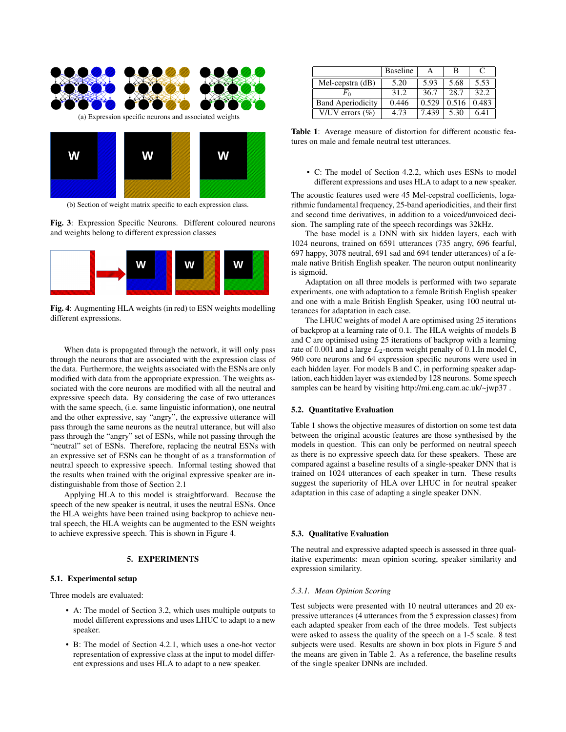

(b) Section of weight matrix specific to each expression class.

Fig. 3: Expression Specific Neurons. Different coloured neurons and weights belong to different expression classes



Fig. 4: Augmenting HLA weights (in red) to ESN weights modelling different expressions.

When data is propagated through the network, it will only pass through the neurons that are associated with the expression class of the data. Furthermore, the weights associated with the ESNs are only modified with data from the appropriate expression. The weights associated with the core neurons are modified with all the neutral and expressive speech data. By considering the case of two utterances with the same speech, (i.e. same linguistic information), one neutral and the other expressive, say "angry", the expressive utterance will pass through the same neurons as the neutral utterance, but will also pass through the "angry" set of ESNs, while not passing through the "neutral" set of ESNs. Therefore, replacing the neutral ESNs with an expressive set of ESNs can be thought of as a transformation of neutral speech to expressive speech. Informal testing showed that the results when trained with the original expressive speaker are indistinguishable from those of Section 2.1

Applying HLA to this model is straightforward. Because the speech of the new speaker is neutral, it uses the neutral ESNs. Once the HLA weights have been trained using backprop to achieve neutral speech, the HLA weights can be augmented to the ESN weights to achieve expressive speech. This is shown in Figure 4.

# 5. EXPERIMENTS

# 5.1. Experimental setup

Three models are evaluated:

- A: The model of Section 3.2, which uses multiple outputs to model different expressions and uses LHUC to adapt to a new speaker.
- B: The model of Section 4.2.1, which uses a one-hot vector representation of expressive class at the input to model different expressions and uses HLA to adapt to a new speaker.

|                          | <b>Baseline</b> |       | в     |       |
|--------------------------|-----------------|-------|-------|-------|
| Mel-cepstra $(d)$        | 5.20            | 5.93  | 5.68  | 5.53  |
| ₽'n                      | 31.2            | 36.7  | 28.7  | 32.2  |
| <b>Band Aperiodicity</b> | 0.446           | 0.529 | 0.516 | 0.483 |
| V/UV errors $(\% )$      | 4.73            | 7.439 | 5.30  | 6.41  |

Table 1: Average measure of distortion for different acoustic features on male and female neutral test utterances.

• C: The model of Section 4.2.2, which uses ESNs to model different expressions and uses HLA to adapt to a new speaker.

The acoustic features used were 45 Mel-cepstral coefficients, logarithmic fundamental frequency, 25-band aperiodicities, and their first and second time derivatives, in addition to a voiced/unvoiced decision. The sampling rate of the speech recordings was 32kHz.

The base model is a DNN with six hidden layers, each with 1024 neurons, trained on 6591 utterances (735 angry, 696 fearful, 697 happy, 3078 neutral, 691 sad and 694 tender utterances) of a female native British English speaker. The neuron output nonlinearity is sigmoid.

Adaptation on all three models is performed with two separate experiments, one with adaptation to a female British English speaker and one with a male British English Speaker, using 100 neutral utterances for adaptation in each case.

The LHUC weights of model A are optimised using 25 iterations of backprop at a learning rate of 0.1. The HLA weights of models B and C are optimised using 25 iterations of backprop with a learning rate of  $0.001$  and a large  $L_2$ -norm weight penalty of  $0.1$ . In model C, 960 core neurons and 64 expression specific neurons were used in each hidden layer. For models B and C, in performing speaker adaptation, each hidden layer was extended by 128 neurons. Some speech samples can be heard by visiting http://mi.eng.cam.ac.uk/~jwp37 .

# 5.2. Quantitative Evaluation

Table 1 shows the objective measures of distortion on some test data between the original acoustic features are those synthesised by the models in question. This can only be performed on neutral speech as there is no expressive speech data for these speakers. These are compared against a baseline results of a single-speaker DNN that is trained on 1024 utterances of each speaker in turn. These results suggest the superiority of HLA over LHUC in for neutral speaker adaptation in this case of adapting a single speaker DNN.

# 5.3. Qualitative Evaluation

The neutral and expressive adapted speech is assessed in three qualitative experiments: mean opinion scoring, speaker similarity and expression similarity.

# *5.3.1. Mean Opinion Scoring*

Test subjects were presented with 10 neutral utterances and 20 expressive utterances (4 utterances from the 5 expression classes) from each adapted speaker from each of the three models. Test subjects were asked to assess the quality of the speech on a 1-5 scale. 8 test subjects were used. Results are shown in box plots in Figure 5 and the means are given in Table 2. As a reference, the baseline results of the single speaker DNNs are included.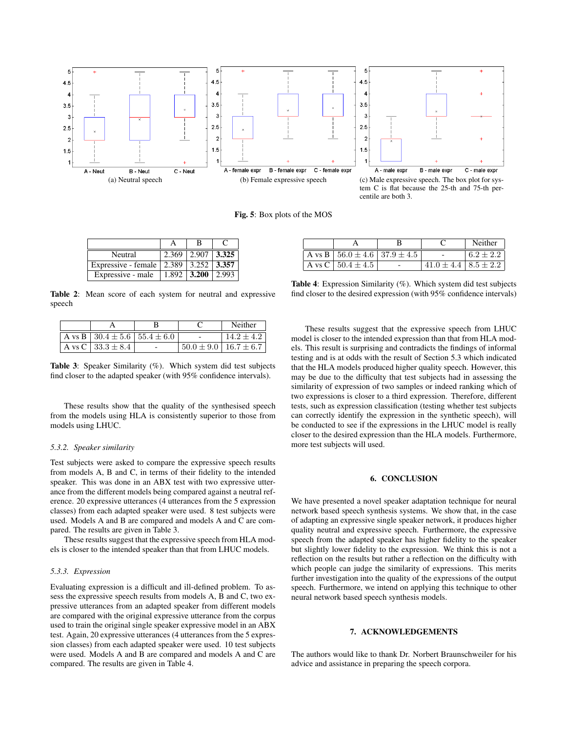

Fig. 5: Box plots of the MOS

| Neutral                                            | $2.369$   $2.907$   $3.325$   |  |
|----------------------------------------------------|-------------------------------|--|
| Expressive - female   2.389   3.252   <b>3.357</b> |                               |  |
| Expressive - male                                  | $1.892 \mid 3.200 \mid 2.993$ |  |

Table 2: Mean score of each system for neutral and expressive speech

|                                                     |  | Neither                         |
|-----------------------------------------------------|--|---------------------------------|
| $A \text{ vs } B$   30.4 $\pm$ 5.6   55.4 $\pm$ 6.0 |  | $14.2 \pm 4.2$                  |
| A vs C   $33.3 \pm 8.4$                             |  | $50.0 \pm 9.0$   $16.7 \pm 6.7$ |

Table 3: Speaker Similarity (%). Which system did test subjects find closer to the adapted speaker (with 95% confidence intervals).

These results show that the quality of the synthesised speech from the models using HLA is consistently superior to those from models using LHUC.

# *5.3.2. Speaker similarity*

Test subjects were asked to compare the expressive speech results from models A, B and C, in terms of their fidelity to the intended speaker. This was done in an ABX test with two expressive utterance from the different models being compared against a neutral reference. 20 expressive utterances (4 utterances from the 5 expression classes) from each adapted speaker were used. 8 test subjects were used. Models A and B are compared and models A and C are compared. The results are given in Table 3.

These results suggest that the expressive speech from HLA models is closer to the intended speaker than that from LHUC models.

#### *5.3.3. Expression*

Evaluating expression is a difficult and ill-defined problem. To assess the expressive speech results from models A, B and C, two expressive utterances from an adapted speaker from different models are compared with the original expressive utterance from the corpus used to train the original single speaker expressive model in an ABX test. Again, 20 expressive utterances (4 utterances from the 5 expression classes) from each adapted speaker were used. 10 test subjects were used. Models A and B are compared and models A and C are compared. The results are given in Table 4.

|                                                      |                                | Neither     |
|------------------------------------------------------|--------------------------------|-------------|
| A vs B $\vert 56.0 \pm 4.6 \vert 37.9 \pm 4.5 \vert$ |                                | $6.2 + 2.2$ |
| A vs C $\,$ 50.4 $\pm$ 4.5                           | $41.0 \pm 4.4$   $8.5 \pm 2.2$ |             |

Table 4: Expression Similarity (%). Which system did test subjects find closer to the desired expression (with 95% confidence intervals)

These results suggest that the expressive speech from LHUC model is closer to the intended expression than that from HLA models. This result is surprising and contradicts the findings of informal testing and is at odds with the result of Section 5.3 which indicated that the HLA models produced higher quality speech. However, this may be due to the difficulty that test subjects had in assessing the similarity of expression of two samples or indeed ranking which of two expressions is closer to a third expression. Therefore, different tests, such as expression classification (testing whether test subjects can correctly identify the expression in the synthetic speech), will be conducted to see if the expressions in the LHUC model is really closer to the desired expression than the HLA models. Furthermore, more test subjects will used.

# 6. CONCLUSION

We have presented a novel speaker adaptation technique for neural network based speech synthesis systems. We show that, in the case of adapting an expressive single speaker network, it produces higher quality neutral and expressive speech. Furthermore, the expressive speech from the adapted speaker has higher fidelity to the speaker but slightly lower fidelity to the expression. We think this is not a reflection on the results but rather a reflection on the difficulty with which people can judge the similarity of expressions. This merits further investigation into the quality of the expressions of the output speech. Furthermore, we intend on applying this technique to other neural network based speech synthesis models.

#### 7. ACKNOWLEDGEMENTS

The authors would like to thank Dr. Norbert Braunschweiler for his advice and assistance in preparing the speech corpora.